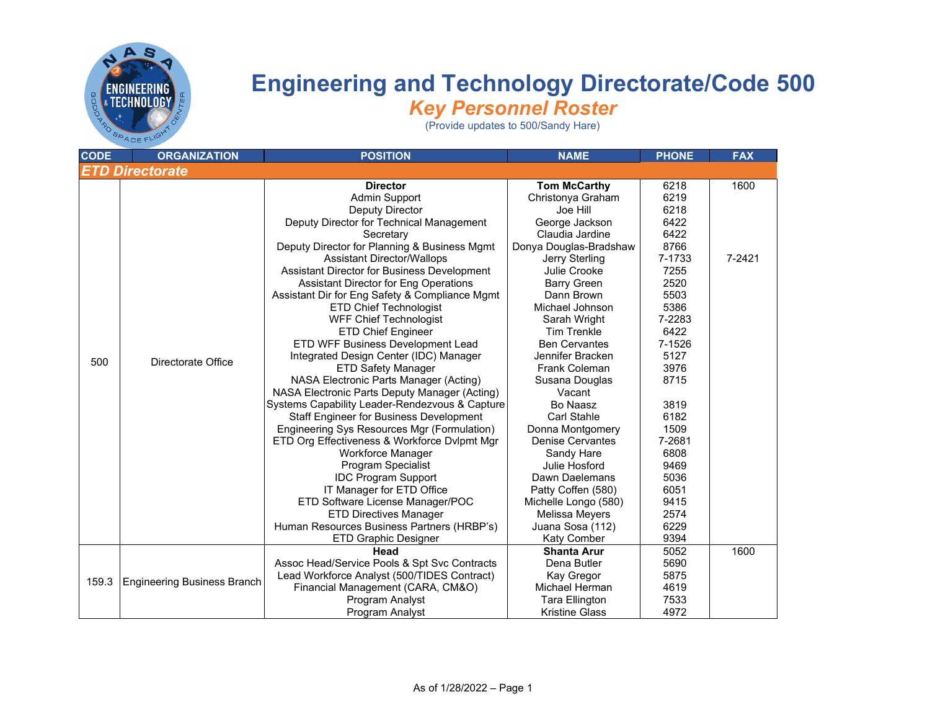

| <b>CODE</b> | <b>ORGANIZATION</b>                | <b>POSITION</b>                                                                                                                                                                                                                                                                                                                                                                                                                                                                                                                                                                                                                                                                                                                                                                                                                                                                                               | <b>NAME</b>                                                                                                                                                                                                                                                                                                                                                                                                                                                        | <b>PHONE</b>                                                                                                                                                                                 | <b>FAX</b>     |
|-------------|------------------------------------|---------------------------------------------------------------------------------------------------------------------------------------------------------------------------------------------------------------------------------------------------------------------------------------------------------------------------------------------------------------------------------------------------------------------------------------------------------------------------------------------------------------------------------------------------------------------------------------------------------------------------------------------------------------------------------------------------------------------------------------------------------------------------------------------------------------------------------------------------------------------------------------------------------------|--------------------------------------------------------------------------------------------------------------------------------------------------------------------------------------------------------------------------------------------------------------------------------------------------------------------------------------------------------------------------------------------------------------------------------------------------------------------|----------------------------------------------------------------------------------------------------------------------------------------------------------------------------------------------|----------------|
|             | <b>ETD Directorate</b>             |                                                                                                                                                                                                                                                                                                                                                                                                                                                                                                                                                                                                                                                                                                                                                                                                                                                                                                               |                                                                                                                                                                                                                                                                                                                                                                                                                                                                    |                                                                                                                                                                                              |                |
| 500         | Directorate Office                 | <b>Director</b><br><b>Admin Support</b><br>Deputy Director<br>Deputy Director for Technical Management<br>Secretary<br>Deputy Director for Planning & Business Mgmt<br><b>Assistant Director/Wallops</b><br>Assistant Director for Business Development<br><b>Assistant Director for Eng Operations</b><br>Assistant Dir for Eng Safety & Compliance Mgmt<br><b>ETD Chief Technologist</b><br><b>WFF Chief Technologist</b><br><b>ETD Chief Engineer</b><br>ETD WFF Business Development Lead<br>Integrated Design Center (IDC) Manager<br><b>ETD Safety Manager</b><br>NASA Electronic Parts Manager (Acting)<br>NASA Electronic Parts Deputy Manager (Acting)<br>Systems Capability Leader-Rendezvous & Capture<br><b>Staff Engineer for Business Development</b><br>Engineering Sys Resources Mgr (Formulation)<br>ETD Org Effectiveness & Workforce Dvlpmt Mgr<br>Workforce Manager<br>Program Specialist | <b>Tom McCarthy</b><br>Christonya Graham<br>Joe Hill<br>George Jackson<br>Claudia Jardine<br>Donya Douglas-Bradshaw<br>Jerry Sterling<br>Julie Crooke<br><b>Barry Green</b><br>Dann Brown<br>Michael Johnson<br>Sarah Wright<br><b>Tim Trenkle</b><br><b>Ben Cervantes</b><br>Jennifer Bracken<br><b>Frank Coleman</b><br>Susana Douglas<br>Vacant<br>Bo Naasz<br><b>Carl Stahle</b><br>Donna Montgomery<br><b>Denise Cervantes</b><br>Sandy Hare<br>Julie Hosford | 6218<br>6219<br>6218<br>6422<br>6422<br>8766<br>7-1733<br>7255<br>2520<br>5503<br>5386<br>7-2283<br>6422<br>7-1526<br>5127<br>3976<br>8715<br>3819<br>6182<br>1509<br>7-2681<br>6808<br>9469 | 1600<br>7-2421 |
|             |                                    | <b>IDC Program Support</b><br>IT Manager for ETD Office<br>ETD Software License Manager/POC<br><b>ETD Directives Manager</b><br>Human Resources Business Partners (HRBP's)                                                                                                                                                                                                                                                                                                                                                                                                                                                                                                                                                                                                                                                                                                                                    | Dawn Daelemans<br>Patty Coffen (580)<br>Michelle Longo (580)<br>Melissa Meyers<br>Juana Sosa (112)                                                                                                                                                                                                                                                                                                                                                                 | 5036<br>6051<br>9415<br>2574<br>6229                                                                                                                                                         |                |
|             |                                    | ETD Graphic Designer                                                                                                                                                                                                                                                                                                                                                                                                                                                                                                                                                                                                                                                                                                                                                                                                                                                                                          | Katy Comber                                                                                                                                                                                                                                                                                                                                                                                                                                                        | 9394                                                                                                                                                                                         |                |
| 159.3       | <b>Engineering Business Branch</b> | Head<br>Assoc Head/Service Pools & Spt Svc Contracts<br>Lead Workforce Analyst (500/TIDES Contract)<br>Financial Management (CARA, CM&O)<br>Program Analyst                                                                                                                                                                                                                                                                                                                                                                                                                                                                                                                                                                                                                                                                                                                                                   | <b>Shanta Arur</b><br>Dena Butler<br>Kay Gregor<br>Michael Herman<br>Tara Ellington                                                                                                                                                                                                                                                                                                                                                                                | 5052<br>5690<br>5875<br>4619<br>7533                                                                                                                                                         | 1600           |
|             |                                    | Program Analyst                                                                                                                                                                                                                                                                                                                                                                                                                                                                                                                                                                                                                                                                                                                                                                                                                                                                                               | <b>Kristine Glass</b>                                                                                                                                                                                                                                                                                                                                                                                                                                              | 4972                                                                                                                                                                                         |                |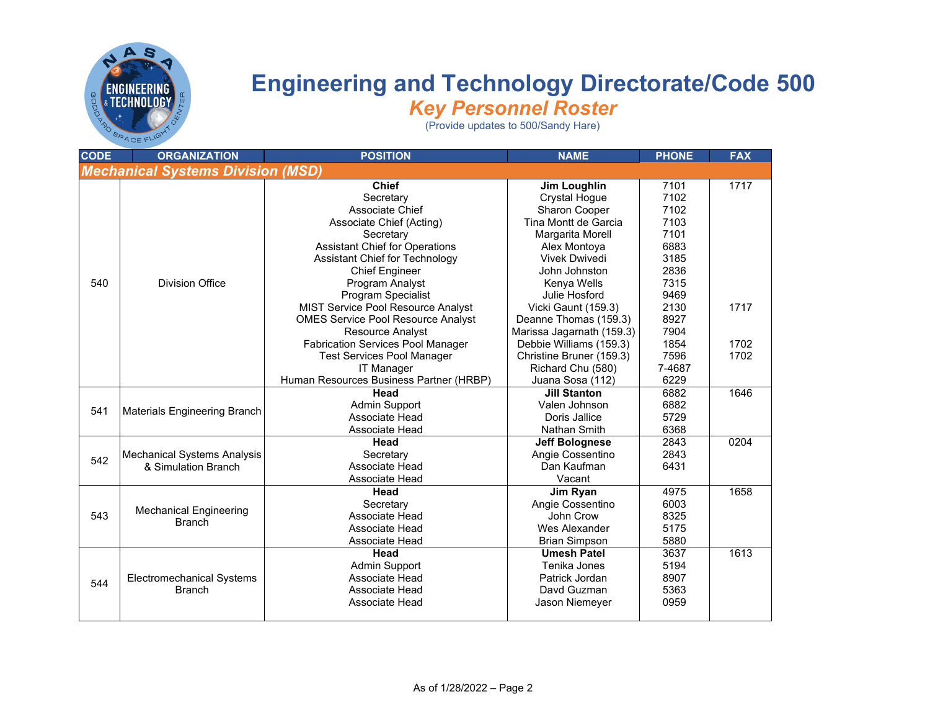

| <b>CODE</b>                              | <b>ORGANIZATION</b>                | <b>POSITION</b>                           | <b>NAME</b>               | <b>PHONE</b> | <b>FAX</b> |  |  |
|------------------------------------------|------------------------------------|-------------------------------------------|---------------------------|--------------|------------|--|--|
| <b>Mechanical Systems Division (MSD)</b> |                                    |                                           |                           |              |            |  |  |
|                                          |                                    | <b>Chief</b>                              | Jim Loughlin              | 7101         | 1717       |  |  |
|                                          |                                    | Secretary                                 | <b>Crystal Hogue</b>      | 7102         |            |  |  |
|                                          |                                    | Associate Chief                           | Sharon Cooper             | 7102         |            |  |  |
|                                          |                                    | Associate Chief (Acting)                  | Tina Montt de Garcia      | 7103         |            |  |  |
|                                          |                                    | Secretary                                 | Margarita Morell          | 7101         |            |  |  |
|                                          |                                    | <b>Assistant Chief for Operations</b>     | Alex Montoya              | 6883         |            |  |  |
|                                          |                                    | <b>Assistant Chief for Technology</b>     | <b>Vivek Dwivedi</b>      | 3185         |            |  |  |
|                                          |                                    | <b>Chief Engineer</b>                     | John Johnston             | 2836         |            |  |  |
| 540                                      | <b>Division Office</b>             | Program Analyst                           | Kenya Wells               | 7315         |            |  |  |
|                                          |                                    | Program Specialist                        | Julie Hosford             | 9469         |            |  |  |
|                                          |                                    | MIST Service Pool Resource Analyst        | Vicki Gaunt (159.3)       | 2130         | 1717       |  |  |
|                                          |                                    | <b>OMES Service Pool Resource Analyst</b> | Deanne Thomas (159.3)     | 8927         |            |  |  |
|                                          |                                    | <b>Resource Analyst</b>                   | Marissa Jagarnath (159.3) | 7904         |            |  |  |
|                                          |                                    | <b>Fabrication Services Pool Manager</b>  | Debbie Williams (159.3)   | 1854         | 1702       |  |  |
|                                          |                                    | <b>Test Services Pool Manager</b>         | Christine Bruner (159.3)  | 7596         | 1702       |  |  |
|                                          |                                    | <b>IT Manager</b>                         | Richard Chu (580)         | 7-4687       |            |  |  |
|                                          |                                    | Human Resources Business Partner (HRBP)   | Juana Sosa (112)          | 6229         |            |  |  |
|                                          |                                    | Head                                      | <b>Jill Stanton</b>       | 6882         | 1646       |  |  |
| 541                                      | Materials Engineering Branch       | <b>Admin Support</b>                      | Valen Johnson             | 6882         |            |  |  |
|                                          |                                    | Associate Head                            | Doris Jallice             | 5729         |            |  |  |
|                                          |                                    | Associate Head                            | Nathan Smith              | 6368         |            |  |  |
|                                          |                                    | Head                                      | <b>Jeff Bolognese</b>     | 2843         | 0204       |  |  |
| 542                                      | <b>Mechanical Systems Analysis</b> | Secretary                                 | Angie Cossentino          | 2843         |            |  |  |
|                                          | & Simulation Branch                | Associate Head                            | Dan Kaufman               | 6431         |            |  |  |
|                                          |                                    | Associate Head                            | Vacant                    |              |            |  |  |
|                                          |                                    | Head                                      | Jim Ryan                  | 4975         | 1658       |  |  |
|                                          | <b>Mechanical Engineering</b>      | Secretary                                 | Angie Cossentino          | 6003         |            |  |  |
| 543                                      | <b>Branch</b>                      | Associate Head                            | John Crow                 | 8325         |            |  |  |
|                                          |                                    | Associate Head                            | Wes Alexander             | 5175         |            |  |  |
|                                          |                                    | Associate Head                            | <b>Brian Simpson</b>      | 5880         |            |  |  |
|                                          |                                    | Head                                      | <b>Umesh Patel</b>        | 3637         | 1613       |  |  |
|                                          |                                    | <b>Admin Support</b>                      | Tenika Jones              | 5194         |            |  |  |
| 544                                      | <b>Electromechanical Systems</b>   | Associate Head                            | Patrick Jordan            | 8907         |            |  |  |
|                                          | <b>Branch</b>                      | Associate Head                            | Davd Guzman               | 5363         |            |  |  |
|                                          |                                    | Associate Head                            | Jason Niemeyer            | 0959         |            |  |  |
|                                          |                                    |                                           |                           |              |            |  |  |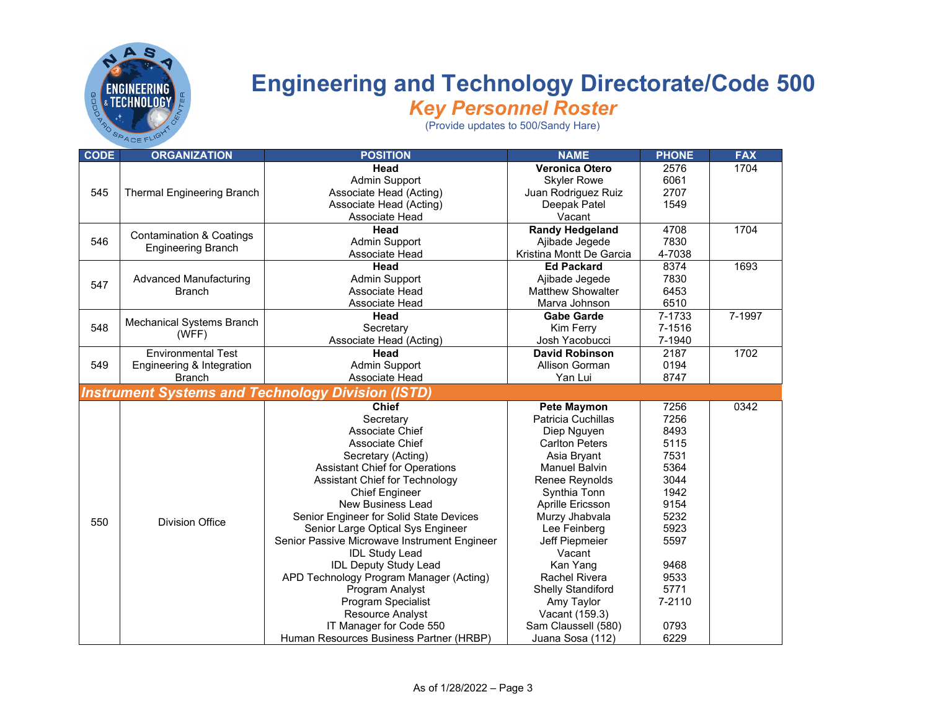

| <b>CODE</b> | <b>ORGANIZATION</b>                 | <b>POSITION</b>                                          | <b>NAME</b>              | <b>PHONE</b> | <b>FAX</b>           |
|-------------|-------------------------------------|----------------------------------------------------------|--------------------------|--------------|----------------------|
|             |                                     | Head                                                     | <b>Veronica Otero</b>    | 2576         | 1704                 |
|             |                                     | Admin Support                                            | <b>Skyler Rowe</b>       | 6061         |                      |
| 545         | Thermal Engineering Branch          | Associate Head (Acting)                                  | Juan Rodriguez Ruiz      | 2707         |                      |
|             |                                     | Associate Head (Acting)                                  | Deepak Patel             | 1549         |                      |
|             |                                     | Associate Head                                           | Vacant                   |              |                      |
|             | <b>Contamination &amp; Coatings</b> | Head                                                     | <b>Randy Hedgeland</b>   | 4708         |                      |
| 546         | <b>Engineering Branch</b>           | Admin Support                                            | Ajibade Jegede           | 7830         |                      |
|             |                                     | Associate Head                                           | Kristina Montt De Garcia | 4-7038       |                      |
|             |                                     | Head                                                     | <b>Ed Packard</b>        | 8374         | 1693                 |
| 547         | <b>Advanced Manufacturing</b>       | Admin Support                                            | Ajibade Jegede           | 7830         |                      |
|             | <b>Branch</b>                       | Associate Head                                           | <b>Matthew Showalter</b> | 6453         |                      |
|             |                                     | Associate Head                                           | Marva Johnson            | 6510         |                      |
|             |                                     | Head                                                     | <b>Gabe Garde</b>        | 7-1733       | 7-1997               |
| 548         | Mechanical Systems Branch           | Secretary                                                | Kim Ferry                | 7-1516       | 1704<br>1702<br>0342 |
|             | (WFF)                               | Associate Head (Acting)                                  | Josh Yacobucci           | 7-1940       |                      |
|             | <b>Environmental Test</b>           | Head                                                     | <b>David Robinson</b>    | 2187         |                      |
| 549         | Engineering & Integration           | <b>Admin Support</b>                                     | Allison Gorman           | 0194         |                      |
|             | <b>Branch</b>                       | Associate Head                                           | Yan Lui                  | 8747         |                      |
|             |                                     | <b>Instrument Systems and Technology Division (ISTD)</b> |                          |              |                      |
|             |                                     | <b>Chief</b>                                             | <b>Pete Maymon</b>       | 7256         |                      |
|             |                                     | Secretary                                                | Patricia Cuchillas       | 7256         |                      |
|             |                                     | Associate Chief                                          | Diep Nguyen              | 8493         |                      |
|             |                                     | Associate Chief                                          | <b>Carlton Peters</b>    | 5115         |                      |
|             |                                     | Secretary (Acting)                                       | Asia Bryant              | 7531         |                      |
|             |                                     | <b>Assistant Chief for Operations</b>                    | <b>Manuel Balvin</b>     | 5364         |                      |
|             |                                     | Assistant Chief for Technology                           | Renee Reynolds           | 3044         |                      |
|             |                                     | <b>Chief Engineer</b>                                    | Synthia Tonn             | 1942         |                      |
|             |                                     | New Business Lead                                        | Aprille Ericsson         | 9154         |                      |
|             |                                     | Senior Engineer for Solid State Devices                  | Murzy Jhabvala           | 5232         |                      |
| 550         | Division Office                     | Senior Large Optical Sys Engineer                        | Lee Feinberg             | 5923         |                      |
|             |                                     | Senior Passive Microwave Instrument Engineer             | Jeff Piepmeier           | 5597         |                      |
|             |                                     | <b>IDL Study Lead</b>                                    | Vacant                   |              |                      |
|             |                                     | <b>IDL Deputy Study Lead</b>                             | Kan Yang                 | 9468         |                      |
|             |                                     | APD Technology Program Manager (Acting)                  | <b>Rachel Rivera</b>     | 9533         |                      |
|             |                                     | Program Analyst                                          | <b>Shelly Standiford</b> | 5771         |                      |
|             |                                     | Program Specialist                                       | Amy Taylor               | 7-2110       |                      |
|             |                                     | <b>Resource Analyst</b>                                  | Vacant (159.3)           |              |                      |
|             |                                     | IT Manager for Code 550                                  | Sam Claussell (580)      | 0793         |                      |
|             |                                     | Human Resources Business Partner (HRBP)                  | Juana Sosa (112)         | 6229         |                      |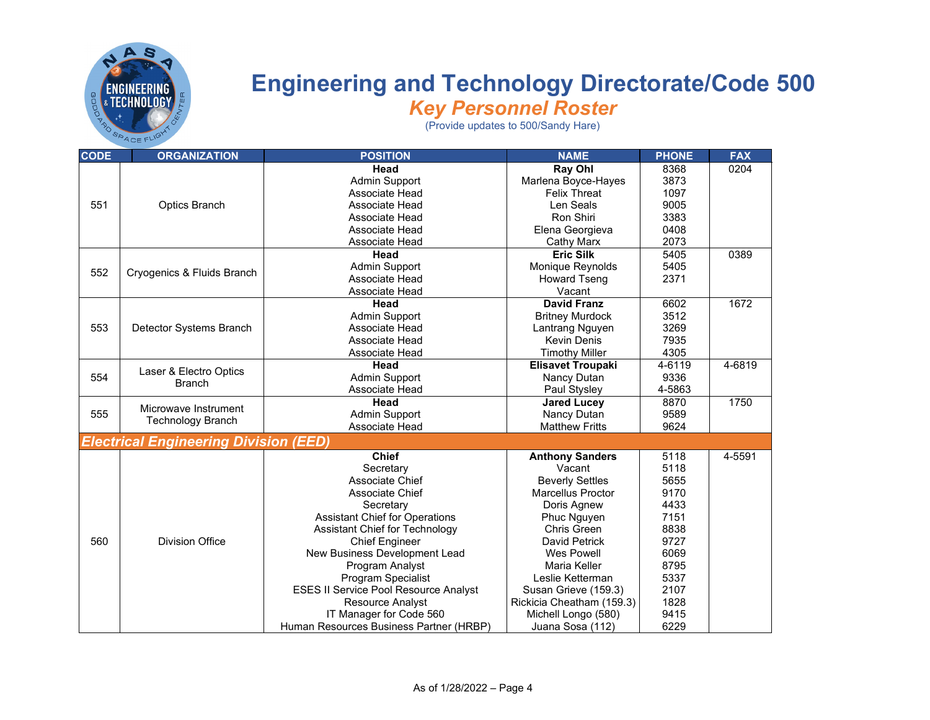

| <b>CODE</b> | <b>ORGANIZATION</b>                          | <b>POSITION</b>                              | <b>NAME</b>               | <b>PHONE</b> | <b>FAX</b> |
|-------------|----------------------------------------------|----------------------------------------------|---------------------------|--------------|------------|
|             |                                              | Head                                         | <b>Ray Ohl</b>            | 8368         | 0204       |
|             |                                              | <b>Admin Support</b>                         | Marlena Boyce-Hayes       | 3873         |            |
| 551         |                                              | Associate Head                               | <b>Felix Threat</b>       | 1097         |            |
|             | <b>Optics Branch</b>                         | Associate Head                               | Len Seals                 | 9005         |            |
|             |                                              | Associate Head                               | Ron Shiri                 | 3383         |            |
|             |                                              | Associate Head                               | Elena Georgieva           | 0408         |            |
|             |                                              | Associate Head                               | <b>Cathy Marx</b>         | 2073         |            |
|             |                                              | Head                                         | <b>Eric Silk</b>          | 5405         | 0389       |
| 552         |                                              | Admin Support                                | Monique Reynolds          | 5405         |            |
|             | Cryogenics & Fluids Branch                   | Associate Head                               | <b>Howard Tseng</b>       | 2371         |            |
|             |                                              | Associate Head                               | Vacant                    |              |            |
|             |                                              | Head                                         | <b>David Franz</b>        | 6602         | 1672       |
|             |                                              | <b>Admin Support</b>                         | <b>Britney Murdock</b>    | 3512         |            |
| 553         | Detector Systems Branch                      | Associate Head                               | Lantrang Nguyen           | 3269         |            |
|             |                                              | Associate Head                               | <b>Kevin Denis</b>        | 7935         |            |
|             |                                              | Associate Head                               | <b>Timothy Miller</b>     | 4305         |            |
|             |                                              | Head                                         | <b>Elisavet Troupaki</b>  | 4-6119       | 4-6819     |
| 554         | Laser & Electro Optics<br><b>Branch</b>      | <b>Admin Support</b>                         | Nancy Dutan               | 9336         |            |
|             |                                              | Associate Head                               | Paul Stysley              | 4-5863       |            |
|             | Microwave Instrument                         | Head                                         | <b>Jared Lucey</b>        | 8870         | 1750       |
| 555         | <b>Technology Branch</b>                     | <b>Admin Support</b>                         | Nancy Dutan               | 9589         |            |
|             |                                              | Associate Head                               | <b>Matthew Fritts</b>     | 9624         |            |
|             | <b>Electrical Engineering Division (EED)</b> |                                              |                           |              |            |
|             |                                              | <b>Chief</b>                                 | <b>Anthony Sanders</b>    | 5118         | 4-5591     |
|             |                                              | Secretary                                    | Vacant                    | 5118         |            |
|             |                                              | Associate Chief                              | <b>Beverly Settles</b>    | 5655         |            |
|             |                                              | Associate Chief                              | Marcellus Proctor         | 9170         |            |
|             |                                              | Secretary                                    | Doris Agnew               | 4433         |            |
|             |                                              | <b>Assistant Chief for Operations</b>        | Phuc Nguyen               | 7151         |            |
|             |                                              | Assistant Chief for Technology               | <b>Chris Green</b>        | 8838         |            |
| 560         | <b>Division Office</b>                       | <b>Chief Engineer</b>                        | David Petrick             | 9727         |            |
|             |                                              | New Business Development Lead                | Wes Powell                | 6069         |            |
|             |                                              | Program Analyst                              | Maria Keller              | 8795         |            |
|             |                                              | Program Specialist                           | Leslie Ketterman          | 5337         |            |
|             |                                              | <b>ESES II Service Pool Resource Analyst</b> | Susan Grieve (159.3)      | 2107         |            |
|             |                                              | Resource Analyst                             | Rickicia Cheatham (159.3) | 1828         |            |
|             |                                              | IT Manager for Code 560                      | Michell Longo (580)       | 9415         |            |
|             |                                              | Human Resources Business Partner (HRBP)      | Juana Sosa (112)          | 6229         |            |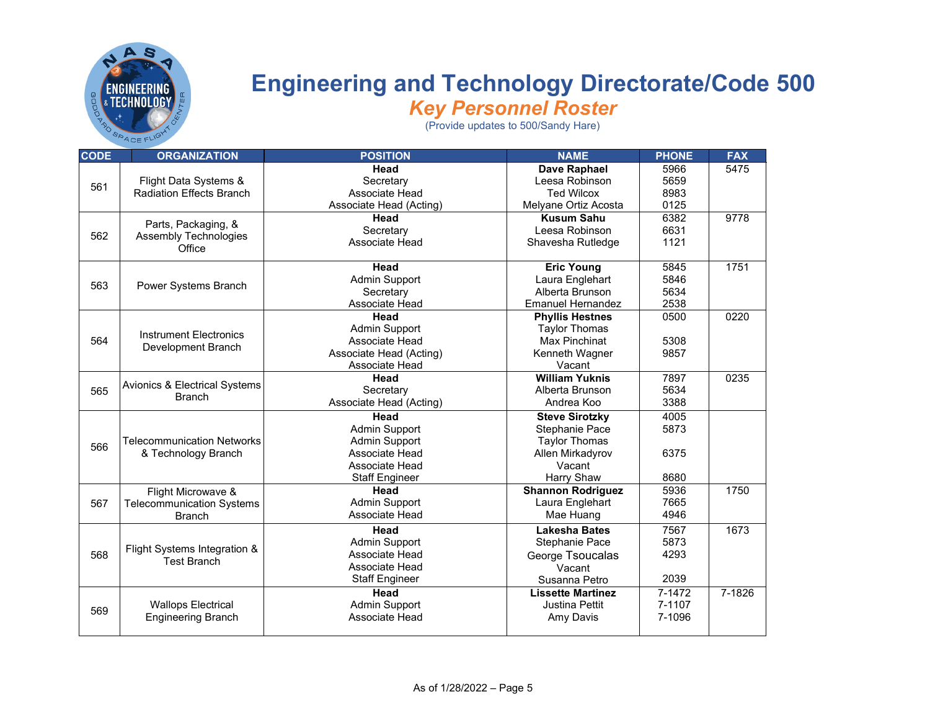

| <b>CODE</b> | <b>ORGANIZATION</b>                                      | <b>POSITION</b>         | <b>NAME</b>              | <b>PHONE</b> | <b>FAX</b> |
|-------------|----------------------------------------------------------|-------------------------|--------------------------|--------------|------------|
|             |                                                          | Head                    | Dave Raphael             | 5966         | 5475       |
| 561         | Flight Data Systems &                                    | Secretary               | Leesa Robinson           | 5659         |            |
|             | <b>Radiation Effects Branch</b>                          | Associate Head          | <b>Ted Wilcox</b>        | 8983         |            |
|             |                                                          | Associate Head (Acting) | Melyane Ortiz Acosta     | 0125         |            |
|             | Parts, Packaging, &                                      | Head                    | <b>Kusum Sahu</b>        | 6382         | 9778       |
| 562         | <b>Assembly Technologies</b>                             | Secretary               | Leesa Robinson           | 6631         |            |
|             | Office                                                   | Associate Head          | Shavesha Rutledge        | 1121         |            |
|             |                                                          |                         |                          |              |            |
|             |                                                          | Head                    | <b>Eric Young</b>        | 5845         | 1751       |
| 563         | Power Systems Branch                                     | <b>Admin Support</b>    | Laura Englehart          | 5846         |            |
|             |                                                          | Secretary               | Alberta Brunson          | 5634         |            |
|             |                                                          | Associate Head          | <b>Emanuel Hernandez</b> | 2538         |            |
|             |                                                          | Head                    | <b>Phyllis Hestnes</b>   | 0500         | 0220       |
|             | <b>Instrument Electronics</b>                            | Admin Support           | <b>Taylor Thomas</b>     |              |            |
| 564         | Development Branch                                       | Associate Head          | <b>Max Pinchinat</b>     | 5308         |            |
|             |                                                          | Associate Head (Acting) | Kenneth Wagner           | 9857         |            |
|             |                                                          | Associate Head          | Vacant                   |              |            |
|             | Avionics & Electrical Systems                            | Head                    | <b>William Yuknis</b>    | 7897         | 0235       |
| 565         | <b>Branch</b>                                            | Secretary               | Alberta Brunson          | 5634         |            |
|             |                                                          | Associate Head (Acting) | Andrea Koo               | 3388         |            |
|             |                                                          | Head                    | <b>Steve Sirotzky</b>    | 4005         |            |
|             |                                                          | <b>Admin Support</b>    | Stephanie Pace           | 5873         |            |
| 566         | <b>Telecommunication Networks</b><br>& Technology Branch | Admin Support           | <b>Taylor Thomas</b>     |              |            |
|             |                                                          | Associate Head          | Allen Mirkadyrov         | 6375         |            |
|             |                                                          | Associate Head          | Vacant                   |              |            |
|             |                                                          | <b>Staff Engineer</b>   | Harry Shaw               | 8680         |            |
|             | Flight Microwave &                                       | Head                    | <b>Shannon Rodriguez</b> | 5936         | 1750       |
| 567         | <b>Telecommunication Systems</b>                         | <b>Admin Support</b>    | Laura Englehart          | 7665         |            |
|             | <b>Branch</b>                                            | Associate Head          | Mae Huang                | 4946         |            |
|             |                                                          | Head                    | <b>Lakesha Bates</b>     | 7567         | 1673       |
|             |                                                          | <b>Admin Support</b>    | Stephanie Pace           | 5873         |            |
| 568         | Flight Systems Integration &                             | Associate Head          | George Tsoucalas         | 4293         |            |
|             | <b>Test Branch</b>                                       | Associate Head          | Vacant                   |              |            |
|             |                                                          | <b>Staff Engineer</b>   | Susanna Petro            | 2039         |            |
|             |                                                          | Head                    | <b>Lissette Martinez</b> | 7-1472       | 7-1826     |
|             | <b>Wallops Electrical</b>                                | <b>Admin Support</b>    | <b>Justina Pettit</b>    | 7-1107       |            |
| 569         | <b>Engineering Branch</b>                                | Associate Head          | Amy Davis                | 7-1096       |            |
|             |                                                          |                         |                          |              |            |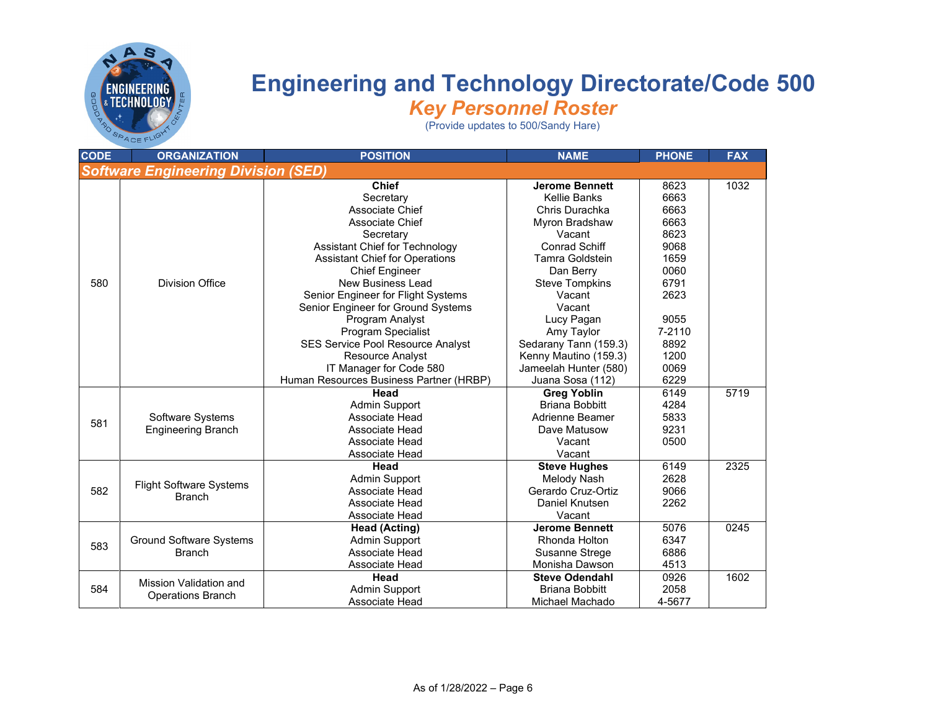

| <b>CODE</b>                                | <b>ORGANIZATION</b>            | <b>POSITION</b>                         | <b>NAME</b>           | <b>PHONE</b> | <b>FAX</b> |  |  |
|--------------------------------------------|--------------------------------|-----------------------------------------|-----------------------|--------------|------------|--|--|
| <b>Software Engineering Division (SED)</b> |                                |                                         |                       |              |            |  |  |
|                                            |                                | <b>Chief</b>                            | <b>Jerome Bennett</b> | 8623         | 1032       |  |  |
|                                            |                                | Secretary                               | Kellie Banks          | 6663         |            |  |  |
|                                            |                                | <b>Associate Chief</b>                  | Chris Durachka        | 6663         |            |  |  |
|                                            |                                | <b>Associate Chief</b>                  | Myron Bradshaw        | 6663         |            |  |  |
|                                            |                                | Secretary                               | Vacant                | 8623         |            |  |  |
|                                            |                                | Assistant Chief for Technology          | <b>Conrad Schiff</b>  | 9068         |            |  |  |
|                                            |                                | <b>Assistant Chief for Operations</b>   | Tamra Goldstein       | 1659         |            |  |  |
|                                            |                                | <b>Chief Engineer</b>                   | Dan Berry             | 0060         |            |  |  |
| 580                                        | <b>Division Office</b>         | New Business Lead                       | <b>Steve Tompkins</b> | 6791         |            |  |  |
|                                            |                                | Senior Engineer for Flight Systems      | Vacant                | 2623         |            |  |  |
|                                            |                                | Senior Engineer for Ground Systems      | Vacant                |              |            |  |  |
|                                            |                                | Program Analyst                         | Lucy Pagan            | 9055         |            |  |  |
|                                            |                                | Program Specialist                      | Amy Taylor            | 7-2110       |            |  |  |
|                                            |                                | SES Service Pool Resource Analyst       | Sedarany Tann (159.3) | 8892         |            |  |  |
|                                            |                                | <b>Resource Analyst</b>                 | Kenny Mautino (159.3) | 1200         |            |  |  |
|                                            |                                | IT Manager for Code 580                 | Jameelah Hunter (580) | 0069         |            |  |  |
|                                            |                                | Human Resources Business Partner (HRBP) | Juana Sosa (112)      | 6229         |            |  |  |
|                                            |                                | Head                                    | <b>Greg Yoblin</b>    | 6149         | 5719       |  |  |
|                                            |                                | <b>Admin Support</b>                    | <b>Briana Bobbitt</b> | 4284         |            |  |  |
|                                            | Software Systems               | Associate Head                          | Adrienne Beamer       | 5833         |            |  |  |
| 581                                        | <b>Engineering Branch</b>      | Associate Head                          | Dave Matusow          | 9231         |            |  |  |
|                                            |                                | Associate Head                          | Vacant                | 0500         |            |  |  |
|                                            |                                | Associate Head                          | Vacant                |              |            |  |  |
|                                            |                                | Head                                    | <b>Steve Hughes</b>   | 6149         | 2325       |  |  |
|                                            |                                | <b>Admin Support</b>                    | Melody Nash           | 2628         |            |  |  |
| 582                                        | <b>Flight Software Systems</b> | Associate Head                          | Gerardo Cruz-Ortiz    | 9066         |            |  |  |
|                                            | <b>Branch</b>                  | Associate Head                          | Daniel Knutsen        | 2262         |            |  |  |
|                                            |                                | Associate Head                          | Vacant                |              |            |  |  |
|                                            |                                | <b>Head (Acting)</b>                    | <b>Jerome Bennett</b> | 5076         | 0245       |  |  |
| 583                                        | <b>Ground Software Systems</b> | <b>Admin Support</b>                    | Rhonda Holton         | 6347         |            |  |  |
|                                            | <b>Branch</b>                  | Associate Head                          | <b>Susanne Strege</b> | 6886         |            |  |  |
|                                            |                                | Associate Head                          | Monisha Dawson        | 4513         |            |  |  |
|                                            |                                | Head                                    | <b>Steve Odendahl</b> | 0926         | 1602       |  |  |
| 584                                        | Mission Validation and         | <b>Admin Support</b>                    | <b>Briana Bobbitt</b> | 2058         |            |  |  |
|                                            | <b>Operations Branch</b>       | Associate Head                          | Michael Machado       | 4-5677       |            |  |  |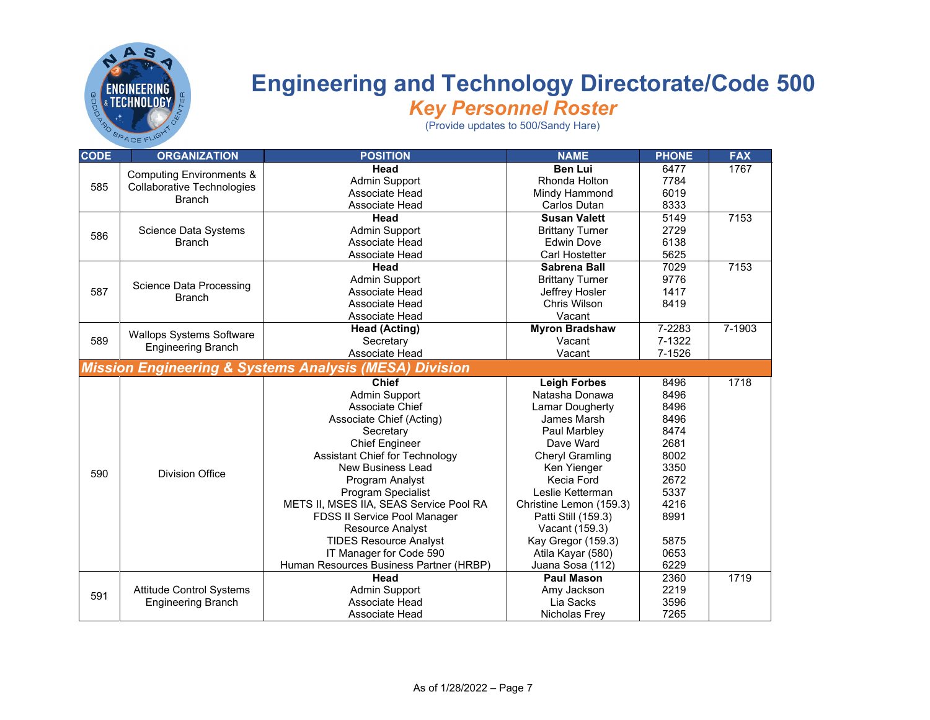

## **Engineering and Technology Directorate/Code 500**

*Key Personnel Roster*

| <b>CODE</b>                                                       | <b>ORGANIZATION</b>                             | <b>POSITION</b>                         | <b>NAME</b>             | <b>PHONE</b> | <b>FAX</b> |  |
|-------------------------------------------------------------------|-------------------------------------------------|-----------------------------------------|-------------------------|--------------|------------|--|
|                                                                   | <b>Computing Environments &amp;</b>             | Head                                    | <b>Ben Lui</b>          | 6477         | 1767       |  |
| 585                                                               | <b>Collaborative Technologies</b>               | <b>Admin Support</b>                    | Rhonda Holton           | 7784         |            |  |
|                                                                   | <b>Branch</b>                                   | Associate Head                          | Mindy Hammond           | 6019         |            |  |
|                                                                   |                                                 | Associate Head                          | <b>Carlos Dutan</b>     | 8333         |            |  |
|                                                                   |                                                 | Head                                    | <b>Susan Valett</b>     | 5149         | 7153       |  |
| 586                                                               | Science Data Systems                            | <b>Admin Support</b>                    | <b>Brittany Turner</b>  | 2729         |            |  |
|                                                                   | <b>Branch</b>                                   | Associate Head                          | <b>Edwin Dove</b>       | 6138         |            |  |
|                                                                   |                                                 | Associate Head                          | Carl Hostetter          | 5625         |            |  |
|                                                                   |                                                 | Head                                    | Sabrena Ball            | 7029         | 7153       |  |
|                                                                   |                                                 | <b>Admin Support</b>                    | <b>Brittany Turner</b>  | 9776         |            |  |
| 587                                                               | <b>Science Data Processing</b><br><b>Branch</b> | Associate Head                          | Jeffrey Hosler          | 1417         |            |  |
|                                                                   |                                                 | Associate Head                          | Chris Wilson            | 8419         |            |  |
|                                                                   |                                                 | Associate Head                          | Vacant                  |              |            |  |
|                                                                   |                                                 | <b>Head (Acting)</b>                    | <b>Myron Bradshaw</b>   | 7-2283       | 7-1903     |  |
| 589                                                               | <b>Wallops Systems Software</b>                 | Secretary                               | Vacant                  | 7-1322       | 1718       |  |
|                                                                   | <b>Engineering Branch</b>                       | Associate Head                          | Vacant                  | 7-1526       |            |  |
| <b>Mission Engineering &amp; Systems Analysis (MESA) Division</b> |                                                 |                                         |                         |              |            |  |
|                                                                   |                                                 | <b>Chief</b>                            | <b>Leigh Forbes</b>     | 8496         |            |  |
|                                                                   |                                                 | <b>Admin Support</b>                    | Natasha Donawa          | 8496         |            |  |
|                                                                   |                                                 | Associate Chief                         | <b>Lamar Dougherty</b>  | 8496         |            |  |
|                                                                   |                                                 | Associate Chief (Acting)                | James Marsh             | 8496         |            |  |
|                                                                   |                                                 | Secretary                               | Paul Marbley            | 8474         |            |  |
|                                                                   |                                                 | <b>Chief Engineer</b>                   | Dave Ward               | 2681         |            |  |
|                                                                   |                                                 | Assistant Chief for Technology          | Cheryl Gramling         | 8002         | 1719       |  |
|                                                                   |                                                 | New Business Lead                       | Ken Yienger             | 3350         |            |  |
| 590                                                               | <b>Division Office</b>                          | Program Analyst                         | Kecia Ford              | 2672         |            |  |
|                                                                   |                                                 | Program Specialist                      | Leslie Ketterman        | 5337         |            |  |
|                                                                   |                                                 | METS II, MSES IIA, SEAS Service Pool RA | Christine Lemon (159.3) | 4216         |            |  |
|                                                                   |                                                 | FDSS II Service Pool Manager            | Patti Still (159.3)     | 8991         |            |  |
|                                                                   |                                                 | <b>Resource Analyst</b>                 | Vacant (159.3)          |              |            |  |
|                                                                   |                                                 | <b>TIDES Resource Analyst</b>           | Kay Gregor (159.3)      | 5875         |            |  |
|                                                                   |                                                 | IT Manager for Code 590                 | Atila Kayar (580)       | 0653         |            |  |
|                                                                   |                                                 | Human Resources Business Partner (HRBP) | Juana Sosa (112)        | 6229         |            |  |
|                                                                   |                                                 | Head                                    | <b>Paul Mason</b>       | 2360         |            |  |
|                                                                   | <b>Attitude Control Systems</b>                 | <b>Admin Support</b>                    | Amy Jackson             | 2219         |            |  |
| 591                                                               | <b>Engineering Branch</b>                       | Associate Head                          | Lia Sacks               | 3596         |            |  |
|                                                                   |                                                 | Associate Head                          | Nicholas Frey           | 7265         |            |  |